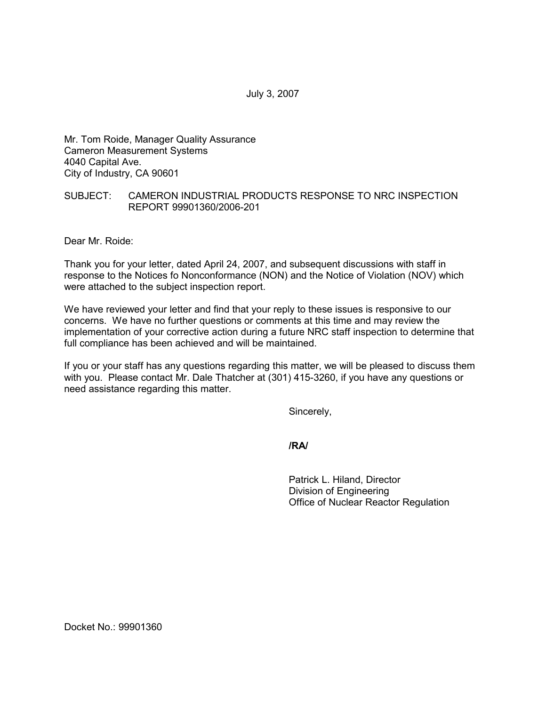July 3, 2007

Mr. Tom Roide, Manager Quality Assurance Cameron Measurement Systems 4040 Capital Ave. City of Industry, CA 90601

## SUBJECT: CAMERON INDUSTRIAL PRODUCTS RESPONSE TO NRC INSPECTION REPORT 99901360/2006-201

Dear Mr. Roide:

Thank you for your letter, dated April 24, 2007, and subsequent discussions with staff in response to the Notices fo Nonconformance (NON) and the Notice of Violation (NOV) which were attached to the subject inspection report.

We have reviewed your letter and find that your reply to these issues is responsive to our concerns. We have no further questions or comments at this time and may review the implementation of your corrective action during a future NRC staff inspection to determine that full compliance has been achieved and will be maintained.

If you or your staff has any questions regarding this matter, we will be pleased to discuss them with you. Please contact Mr. Dale Thatcher at (301) 415-3260, if you have any questions or need assistance regarding this matter.

Sincerely,

**/RA/**

Patrick L. Hiland, Director Division of Engineering Office of Nuclear Reactor Regulation

Docket No.: 99901360